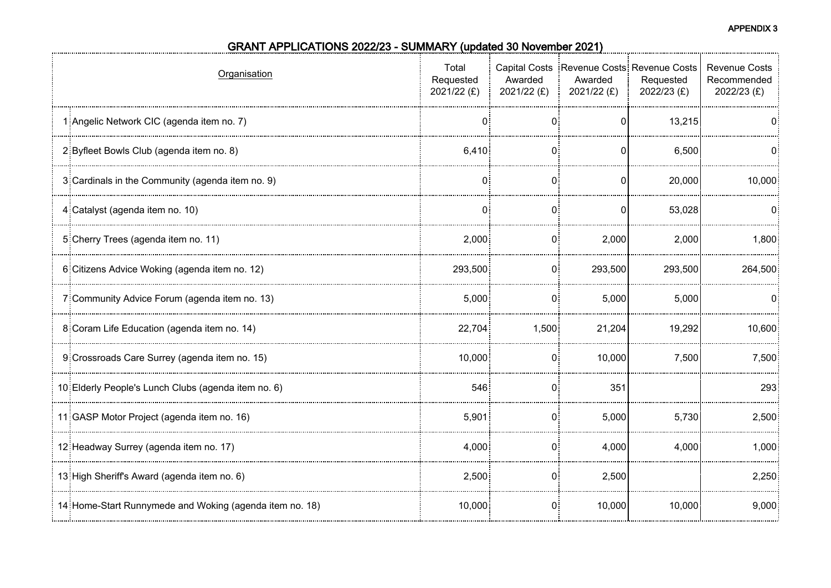**APPENDIX 3**

| Organisation                                             | Total<br>Requested<br>2021/22 (£) | Awarded<br>$2021/22$ (£) | Awarded<br>2021/22 $(E)$ | Capital Costs Revenue Costs Revenue Costs<br>Requested<br>2022/23 (£) | <b>Revenue Costs</b><br>Recommended<br>$2022/23$ (£) |
|----------------------------------------------------------|-----------------------------------|--------------------------|--------------------------|-----------------------------------------------------------------------|------------------------------------------------------|
| 1: Angelic Network CIC (agenda item no. 7)               | 0                                 | 0:                       | 0                        | 13,215                                                                | 0                                                    |
| 2 Byfleet Bowls Club (agenda item no. 8)                 | 6,410                             |                          |                          | 6,500                                                                 |                                                      |
| 3: Cardinals in the Community (agenda item no. 9)        | 0:                                | 0:                       | 0                        | 20,000                                                                | 10,000                                               |
| 4: Catalyst (agenda item no. 10)                         | $\mathbf{0}$                      | $\Omega$ :               | $\Omega$                 | 53,028                                                                | n:                                                   |
| 5: Cherry Trees (agenda item no. 11)                     | 2,000                             | 0:                       | 2,000                    | 2,000                                                                 | 1,800                                                |
| 6: Citizens Advice Woking (agenda item no. 12)           | 293,500                           | 0:                       | 293,500                  | 293,500                                                               | 264,500                                              |
| 7: Community Advice Forum (agenda item no. 13)           | 5,000                             | $\Omega$                 | 5,000                    | 5,000                                                                 | 0                                                    |
| 8 Coram Life Education (agenda item no. 14)              | 22,704                            | 1,500                    | 21,204                   | 19,292                                                                | 10,600                                               |
| 9: Crossroads Care Surrey (agenda item no. 15)           | 10,000                            | $\Omega$ :               | 10,000                   | 7,500                                                                 | 7,500                                                |
| 10 Elderly People's Lunch Clubs (agenda item no. 6)      | 546                               | $\Omega$                 | 351                      |                                                                       | 293                                                  |
| 11: GASP Motor Project (agenda item no. 16)              | 5,901                             | 0:                       | 5,000                    | 5,730                                                                 | 2,500                                                |
| 12: Headway Surrey (agenda item no. 17)                  | 4,000                             | $\Omega$ :               | 4,000                    | 4,000                                                                 | 1,000                                                |
| 13: High Sheriff's Award (agenda item no. 6)             | 2,500                             | 0 <sup>1</sup>           | 2,500                    |                                                                       | 2,250                                                |
| 14: Home-Start Runnymede and Woking (agenda item no. 18) | 10,000                            | 0                        | 10,000                   | 10,000                                                                | 9,000                                                |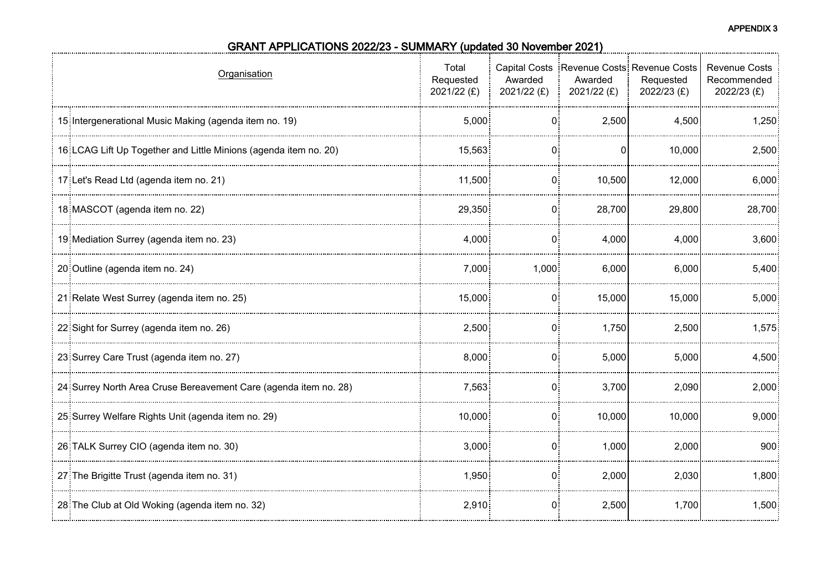| Organisation                                                      | Total<br>Requested<br>2021/22 (£) | Awarded<br>2021/22 $(E)$ | Awarded<br>$2021/22$ (£) | Capital Costs Revenue Costs: Revenue Costs<br>Requested<br>2022/23 (£) | <b>Revenue Costs</b><br>Recommended<br>2022/23 (£) |
|-------------------------------------------------------------------|-----------------------------------|--------------------------|--------------------------|------------------------------------------------------------------------|----------------------------------------------------|
| 15: Intergenerational Music Making (agenda item no. 19)           | 5,000                             | 0                        | 2,500                    | 4,500                                                                  | 1,250                                              |
| 16: LCAG Lift Up Together and Little Minions (agenda item no. 20) | 15.563                            |                          |                          | 10.000                                                                 | 2,500                                              |
| 17: Let's Read Ltd (agenda item no. 21)                           | 11,500                            | 0:                       | 10,500                   | 12,000                                                                 | 6,000                                              |
| 18 MASCOT (agenda item no. 22)                                    | 29,350                            | 0:                       | 28,700                   | 29,800                                                                 | 28,700                                             |
| 19: Mediation Surrey (agenda item no. 23)                         | 4,000                             | 0                        | 4,000                    | 4,000                                                                  | 3,600                                              |
| 20 Outline (agenda item no. 24)                                   | 7,000                             | 1,000                    | 6,000                    | 6,000                                                                  | 5,400                                              |
| 21 Relate West Surrey (agenda item no. 25)                        | 15,000                            | 0.                       | 15,000                   | 15,000                                                                 | 5,000                                              |
| 22 Sight for Surrey (agenda item no. 26)                          | 2,500                             | 0:                       | 1,750                    | 2,500                                                                  | 1,575                                              |
| 23 Surrey Care Trust (agenda item no. 27)                         | 8,000                             | $0^{\circ}$              | 5,000                    | 5,000                                                                  | 4,500                                              |
| 24 Surrey North Area Cruse Bereavement Care (agenda item no. 28)  | 7,563                             | 0:                       | 3,700                    | 2,090                                                                  | 2,000                                              |
| 25 Surrey Welfare Rights Unit (agenda item no. 29)                | 10,000                            | 0:                       | 10,000                   | 10,000                                                                 | 9,000                                              |
| 26: TALK Surrey CIO (agenda item no. 30)                          | 3,000                             | $\Omega$ :               | 1,000                    | 2,000                                                                  | $900\frac{1}{2}$                                   |
| 27 The Brigitte Trust (agenda item no. 31)                        | 1,950                             | 0:                       | 2,000                    | 2,030                                                                  | 1,800                                              |
| 28: The Club at Old Woking (agenda item no. 32)                   | 2,910                             | $\overline{0}$           | 2,500                    | 1,700                                                                  | 1,500                                              |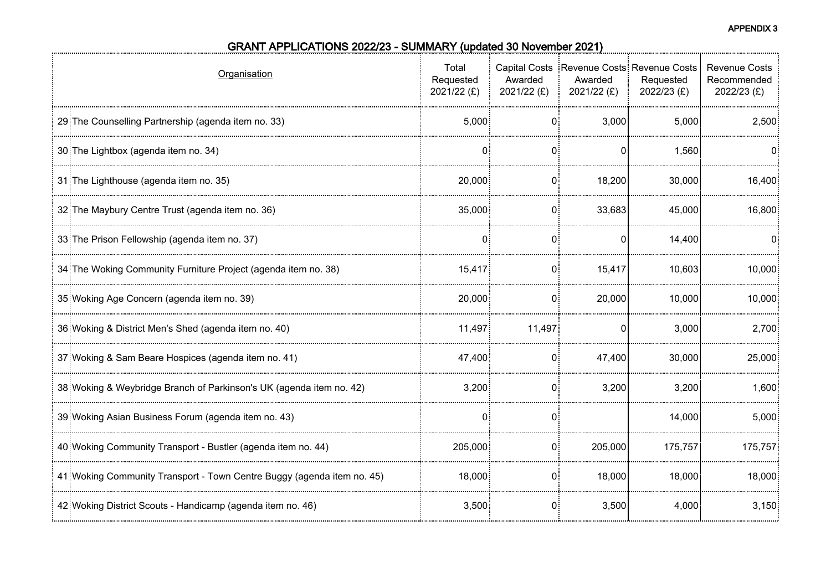| Organisation                                                            | Total<br>Requested<br>2021/22 (£) | Awarded<br>2021/22 $(f)$ | Awarded<br>$2021/22$ (£) | Capital Costs Revenue Costs Revenue Costs<br>Requested<br>2022/23 (£) | <b>Revenue Costs</b><br>Recommended<br>2022/23 (£) |
|-------------------------------------------------------------------------|-----------------------------------|--------------------------|--------------------------|-----------------------------------------------------------------------|----------------------------------------------------|
| 29: The Counselling Partnership (agenda item no. 33)                    | 5,000                             | 0:                       | 3,000                    | 5,000                                                                 | 2,500                                              |
| 30 The Lightbox (agenda item no. 34)                                    |                                   |                          |                          | 1,560                                                                 |                                                    |
| 31 The Lighthouse (agenda item no. 35)                                  | 20,000                            | $\mathbf{0}$             | 18,200                   | 30,000                                                                | 16,400                                             |
| 32 The Maybury Centre Trust (agenda item no. 36)                        | 35,000                            | 0:                       | 33,683                   | 45,000                                                                | 16,800                                             |
| 33: The Prison Fellowship (agenda item no. 37)                          | $\mathbf{0}$                      | 0                        |                          | 14,400                                                                | <u>ດ:</u>                                          |
| 34 The Woking Community Furniture Project (agenda item no. 38)          | 15,417                            | 0:                       | 15,417                   | 10,603                                                                | 10,000                                             |
| 35: Woking Age Concern (agenda item no. 39)                             | 20,000                            | O                        | 20,000                   | 10,000                                                                | 10,000                                             |
| 36: Woking & District Men's Shed (agenda item no. 40)                   | 11,497                            | 11,497                   | 0                        | 3,000                                                                 | 2,700                                              |
| 37 Woking & Sam Beare Hospices (agenda item no. 41)                     | 47,400                            | 0:                       | 47,400                   | 30,000                                                                | 25,000                                             |
| 38: Woking & Weybridge Branch of Parkinson's UK (agenda item no. 42)    | 3,200                             | 0                        | 3,200                    | 3,200                                                                 | 1,600                                              |
| 39 Woking Asian Business Forum (agenda item no. 43)                     | $\mathbf{0}$                      | 0:                       |                          | 14,000                                                                | 5,000                                              |
| 40 Woking Community Transport - Bustler (agenda item no. 44)            | 205,000                           | 0:                       | 205,000                  | 175,757                                                               | 175,757                                            |
| 41: Woking Community Transport - Town Centre Buggy (agenda item no. 45) | 18,000                            | 0                        | 18,000                   | 18,000                                                                | 18,000                                             |
| 42 Woking District Scouts - Handicamp (agenda item no. 46)              | 3,500                             | $\mathbf{0}$             | 3,500                    | 4,000                                                                 | 3,150                                              |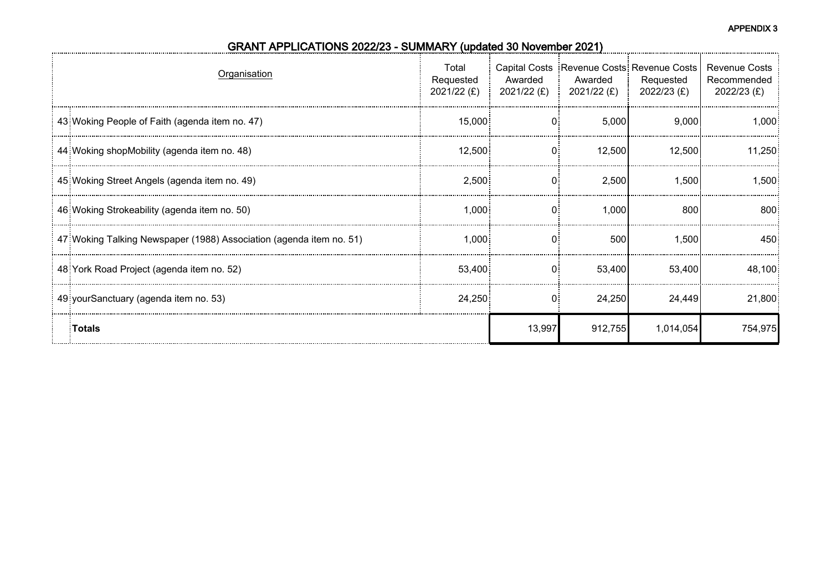| Organisation                                                         | Total<br>Requested<br>2021/22 $(E)$ | Awarded<br>$2021/22$ (£) : | Awarded<br>2021/22 (£) i | Capital Costs Revenue Costs: Revenue Costs<br>Requested<br>2022/23 (£) | <b>Revenue Costs</b><br>Recommended<br>2022/23 (£) |
|----------------------------------------------------------------------|-------------------------------------|----------------------------|--------------------------|------------------------------------------------------------------------|----------------------------------------------------|
| 43: Woking People of Faith (agenda item no. 47)                      | 15,000                              |                            | 5,000                    | 9,000                                                                  | 1,000                                              |
| 44 Woking shopMobility (agenda item no. 48)                          | 12,500                              | 0:                         | 12,500                   | 12,500                                                                 | 11.250                                             |
| 45 Woking Street Angels (agenda item no. 49)                         | 2,500                               | 0:                         | 2,500                    | 1,500                                                                  | 1,500                                              |
| 46: Woking Strokeability (agenda item no. 50)                        | 1,000                               | 0                          | 1,000                    | 800                                                                    | 800                                                |
| 47: Woking Talking Newspaper (1988) Association (agenda item no. 51) | 1.000:                              |                            | 500                      | 1,500                                                                  | 450                                                |
| 48 York Road Project (agenda item no. 52)                            | 53.400                              | 0:                         | 53,400                   | 53,400                                                                 | 48,100                                             |
| 49 your Sanctuary (agenda item no. 53)                               | 24,250                              |                            | 24,250                   | 24,449                                                                 | 21,800                                             |
| <b>Totals</b>                                                        |                                     | 13,997                     | 912,755                  | 1,014,054                                                              | 754,975                                            |